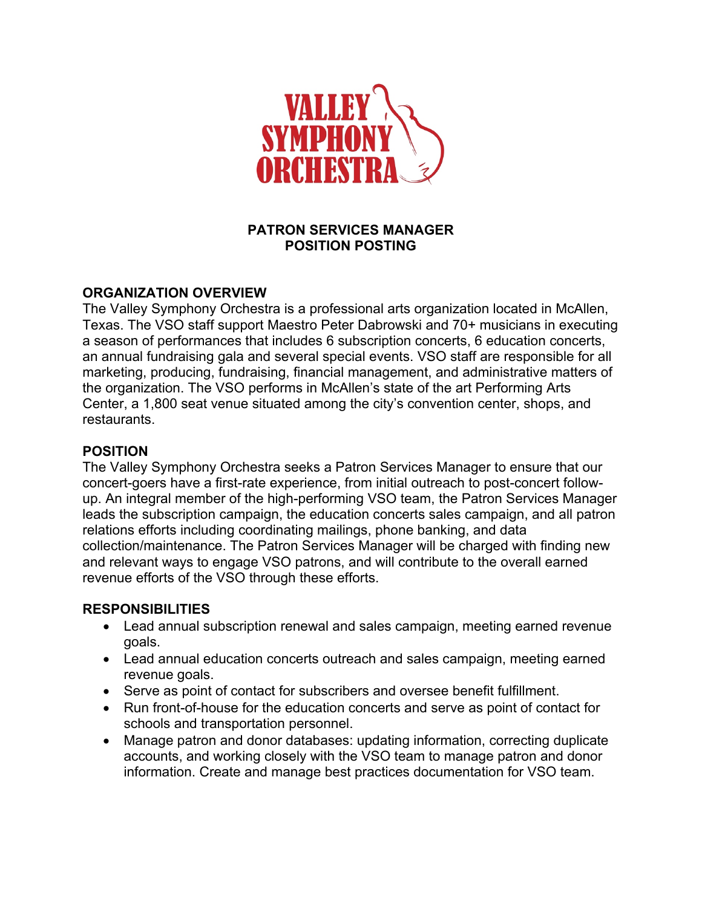

## **PATRON SERVICES MANAGER POSITION POSTING**

### **ORGANIZATION OVERVIEW**

The Valley Symphony Orchestra is a professional arts organization located in McAllen, Texas. The VSO staff support Maestro Peter Dabrowski and 70+ musicians in executing a season of performances that includes 6 subscription concerts, 6 education concerts, an annual fundraising gala and several special events. VSO staff are responsible for all marketing, producing, fundraising, financial management, and administrative matters of the organization. The VSO performs in McAllen's state of the art Performing Arts Center, a 1,800 seat venue situated among the city's convention center, shops, and restaurants.

#### **POSITION**

The Valley Symphony Orchestra seeks a Patron Services Manager to ensure that our concert-goers have a first-rate experience, from initial outreach to post-concert followup. An integral member of the high-performing VSO team, the Patron Services Manager leads the subscription campaign, the education concerts sales campaign, and all patron relations efforts including coordinating mailings, phone banking, and data collection/maintenance. The Patron Services Manager will be charged with finding new and relevant ways to engage VSO patrons, and will contribute to the overall earned revenue efforts of the VSO through these efforts.

## **RESPONSIBILITIES**

- Lead annual subscription renewal and sales campaign, meeting earned revenue goals.
- Lead annual education concerts outreach and sales campaign, meeting earned revenue goals.
- Serve as point of contact for subscribers and oversee benefit fulfillment.
- Run front-of-house for the education concerts and serve as point of contact for schools and transportation personnel.
- Manage patron and donor databases: updating information, correcting duplicate accounts, and working closely with the VSO team to manage patron and donor information. Create and manage best practices documentation for VSO team.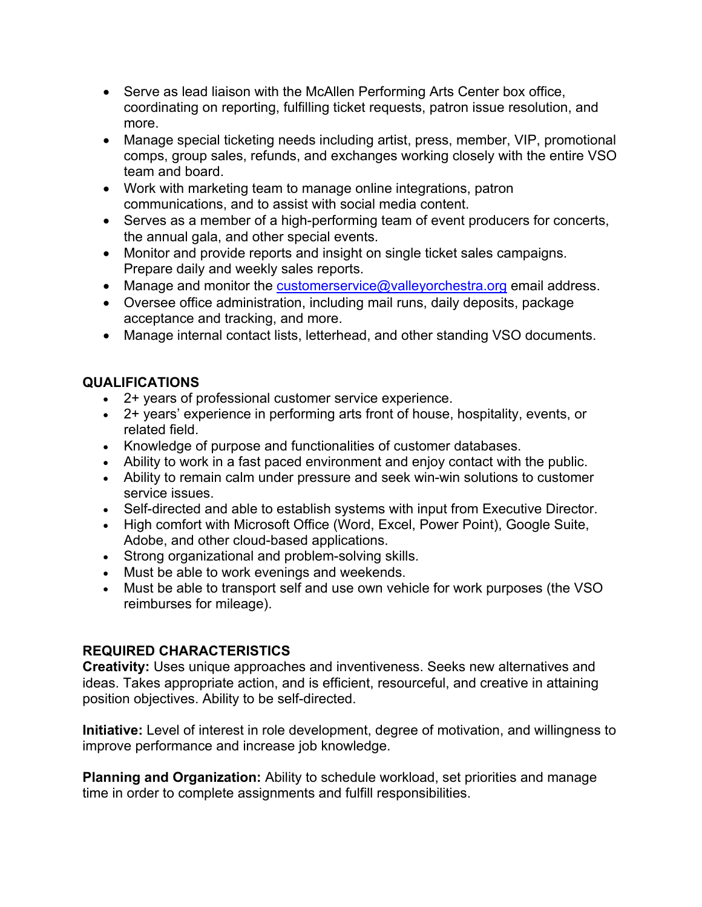- Serve as lead liaison with the McAllen Performing Arts Center box office, coordinating on reporting, fulfilling ticket requests, patron issue resolution, and more.
- Manage special ticketing needs including artist, press, member, VIP, promotional comps, group sales, refunds, and exchanges working closely with the entire VSO team and board.
- Work with marketing team to manage online integrations, patron communications, and to assist with social media content.
- Serves as a member of a high-performing team of event producers for concerts, the annual gala, and other special events.
- Monitor and provide reports and insight on single ticket sales campaigns. Prepare daily and weekly sales reports.
- Manage and monitor the customerservice@valleyorchestra.org email address.
- Oversee office administration, including mail runs, daily deposits, package acceptance and tracking, and more.
- Manage internal contact lists, letterhead, and other standing VSO documents.

# **QUALIFICATIONS**

- 2+ years of professional customer service experience.
- 2+ years' experience in performing arts front of house, hospitality, events, or related field.
- Knowledge of purpose and functionalities of customer databases.
- Ability to work in a fast paced environment and enjoy contact with the public.
- Ability to remain calm under pressure and seek win-win solutions to customer service issues.
- Self-directed and able to establish systems with input from Executive Director.
- High comfort with Microsoft Office (Word, Excel, Power Point), Google Suite, Adobe, and other cloud-based applications.
- Strong organizational and problem-solving skills.
- Must be able to work evenings and weekends.
- Must be able to transport self and use own vehicle for work purposes (the VSO reimburses for mileage).

# **REQUIRED CHARACTERISTICS**

**Creativity:** Uses unique approaches and inventiveness. Seeks new alternatives and ideas. Takes appropriate action, and is efficient, resourceful, and creative in attaining position objectives. Ability to be self-directed.

**Initiative:** Level of interest in role development, degree of motivation, and willingness to improve performance and increase job knowledge.

**Planning and Organization:** Ability to schedule workload, set priorities and manage time in order to complete assignments and fulfill responsibilities.